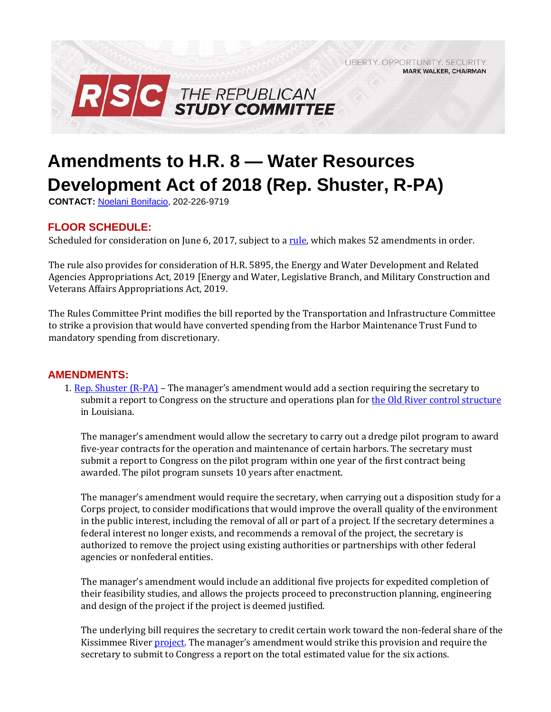

## **Amendments to H.R. 8 — Water Resources Development Act of 2018 (Rep. Shuster, R-PA)**

**CONTACT:** Noelani Bonifacio, 202-226-9719

## **FLOOR SCHEDULE:**

Scheduled for consideration on June 6, 2017, subject to [a rule,](https://rules.house.gov/sites/republicans.rules.house.gov/files/Rule_SAHR3249HR8HR5895.pdf) which makes 52 amendments in order.

The rule also provides for consideration of H.R. 5895, the Energy and Water Development and Related Agencies Appropriations Act, 2019 [Energy and Water, Legislative Branch, and Military Construction and Veterans Affairs Appropriations Act, 2019.

**MARK WALKER, CHAIRMAN** 

The Rules Committee Print modifies the bill reported by the Transportation and Infrastructure Committee to strike a provision that would have converted spending from the Harbor Maintenance Trust Fund to mandatory spending from discretionary.

## **AMENDMENTS:**

1. [Rep. Shuster \(R-PA\)](https://amendments-rules.house.gov/amendments/FMGR_01_xml%20(002)65181542504250.pdf) [–](https://amendments-rules.house.gov/amendments/FMGR_01_xml%20(002)65181542504250.pdf) The manager's amendment would add a section requiring the secretary to submit a report to Congress on the structure and operations plan f[or the Old River control structure](http://www.mvn.usace.army.mil/Portals/56/docs/PAO/Brochures/OldRiverControlBrochure.pdf) in Louisiana.

The manager's amendment would allow the secretary to carry out a dredge pilot program to award five-year contracts for the operation and maintenance of certain harbors. The secretary must submit a report to Congress on the pilot program within one year of the first contract being awarded. The pilot program sunsets 10 years after enactment.

The manager's amendment would require the secretary, when carrying out a disposition study for a Corps project, to consider modifications that would improve the overall quality of the environment in the public interest, including the removal of all or part of a project. If the secretary determines a federal interest no longer exists, and recommends a removal of the project, the secretary is authorized to remove the project using existing authorities or partnerships with other federal agencies or nonfederal entities.

The manager's amendment would include an additional five projects for expedited completion of their feasibility studies, and allows the projects proceed to preconstruction planning, engineering and design of the project if the project is deemed justified.

The underlying bill requires the secretary to credit certain work toward the non-federal share of the Kissimmee Rive[r project.](http://www.saj.usace.army.mil/Missions/Environmental/Ecosystem-Restoration/Kissimmee-River-Restoration/) The manager's amendment would strike this provision and require the secretary to submit to Congress a report on the total estimated value for the six actions.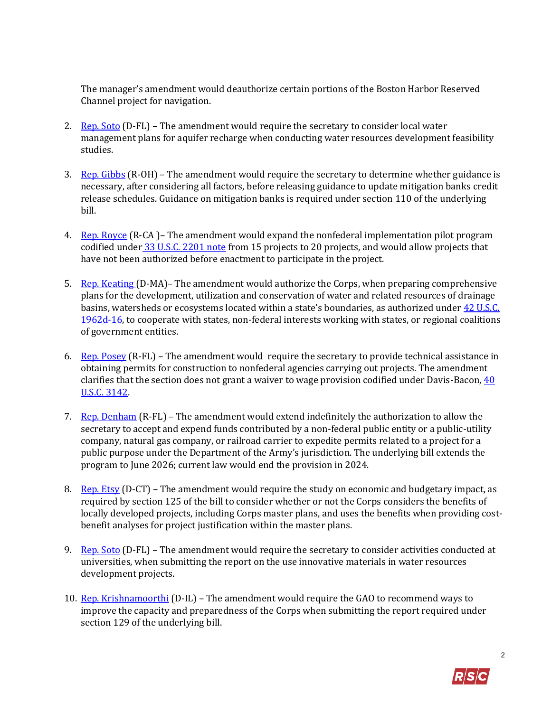The manager's amendment would deauthorize certain portions of the Boston Harbor Reserved Channel project for navigation.

- 2. [Rep. Soto](https://amendments-rules.house.gov/amendments/SOTO_127_xml53118114808488.pdf) (D-FL) The amendment would require the secretary to consider local water management plans for aquifer recharge when conducting water resources development feasibility studies.
- 3. [Rep. Gibbs](https://amendments-rules.house.gov/amendments/GIBBS_026_xml53118114205425.pdf)  $(R-OH)$  The amendment would require the secretary to determine whether guidance is necessary, after considering all factors, before releasing guidance to update mitigation banks credit release schedules. Guidance on mitigation banks is required under section 110 of the underlying bill.
- 4. [Rep. Royce](https://amendments-rules.house.gov/amendments/ROYCE_121_xml64181344364436.pdf) (R-CA)– The amendment would expand the nonfederal implementation pilot program codified under [33 U.S.C. 2201 note](http://uscode.house.gov/view.xhtml?req=(title:33%20section:2201%20edition:prelim)%20OR%20(granuleid:USC-prelim-title33-section2201)&f=treesort&edition=prelim&num=0&jumpTo=true) [f](http://uscode.house.gov/view.xhtml?req=(title:33%20section:2201%20edition:prelim)%20OR%20(granuleid:USC-prelim-title33-section2201)&f=treesort&edition=prelim&num=0&jumpTo=true)rom 15 projects to 20 projects, and would allow projects that have not been authorized before enactment to participate in the project.
- 5. [Rep. Keating \(D](https://amendments-rules.house.gov/amendments/KEATIN_091_xml6518094702472.pdf)-MA)– The amendment would authorize the Corps, when preparing comprehensive plans for the development, utilization and conservation of water and related resources of drainage basins, watersheds or ecosystems located within a state's boundaries, as authorized under [42 U.S.C.](http://uscode.house.gov/view.xhtml?hl=false&edition=prelim&req=granuleid%3AUSC-prelim-title42-section1962d-16&f=treesort&num=0&saved=%7CKHRpdGxlOjQyIHNlY3Rpb246MTk2MmQgZWRpdGlvbjpwcmVsaW0pIE9SIChncmFudWxlaWQ6VVNDLXByZWxpbS10aXRsZTQyLXNlY3Rpb24xOTYyZCk%3D%7CdHJlZXNvcnQ%3D%7C%7C0%7Cfalse%7Cprelim) [1962d-16,](http://uscode.house.gov/view.xhtml?hl=false&edition=prelim&req=granuleid%3AUSC-prelim-title42-section1962d-16&f=treesort&num=0&saved=%7CKHRpdGxlOjQyIHNlY3Rpb246MTk2MmQgZWRpdGlvbjpwcmVsaW0pIE9SIChncmFudWxlaWQ6VVNDLXByZWxpbS10aXRsZTQyLXNlY3Rpb24xOTYyZCk%3D%7CdHJlZXNvcnQ%3D%7C%7C0%7Cfalse%7Cprelim) to cooperate with states, non-federal interests working with states, or regional coalitions of government entities.
- 6. [Rep. Posey](https://amendments-rules.house.gov/amendments/POSEY_062_xmlv36518125308538.pdf)  $(R-FL)$  The amendment would require the secretary to provide technical assistance in obtaining permits for construction to nonfederal agencies carrying out projects. The amendment clarifies that the section does not grant a waiver to wage provision codified under Davis-Bacon,  $40$ [U.S.C. 3142.](https://amendments-rules.house.gov/amendments/POSEY_062_xmlv36518125308538.pdf)
- 7. [Rep. Denham](https://amendments-rules.house.gov/amendments/DENHAM_069_xml53118113501351.pdf) [\(](https://amendments-rules.house.gov/amendments/DENHAM_069_xml53118113501351.pdf)R-FL) The amendment would extend indefinitely the authorization to allow the secretary to accept and expend funds contributed by a non-federal public entity or a public-utility company, natural gas company, or railroad carrier to expedite permits related to a project for a public purpose under the Department of the Army's jurisdiction. The underlying bill extends the program to June 2026; current law would end the provision in 2024.
- 8. [Rep. Etsy](https://amendments-rules.house.gov/amendments/ESTY_076_xml65180744244424.pdf) [\(](https://amendments-rules.house.gov/amendments/ESTY_076_xml65180744244424.pdf)D-CT) The amendment would require the study on economic and budgetary impact, as required by section 125 of the bill to consider whether or not the Corps considers the benefits of locally developed projects, including Corps master plans, and uses the benefits when providing costbenefit analyses for project justification within the master plans.
- 9. [Rep. Soto](https://amendments-rules.house.gov/amendments/SOTO_126_xml531181146164616.pdf) (D-FL) The amendment would require the secretary to consider activities conducted at universities, when submitting the report on the use innovative materials in water resources development projects.
- 10. [Rep. Krishnamoorthi](https://amendments-rules.house.gov/amendments/WRDA%20Workforce%20Amendment531181346384638.pdf) (D-IL) The amendment would require the GAO to recommend ways to improve the capacity and preparedness of the Corps when submitting the report required under section 129 of the underlying bill.

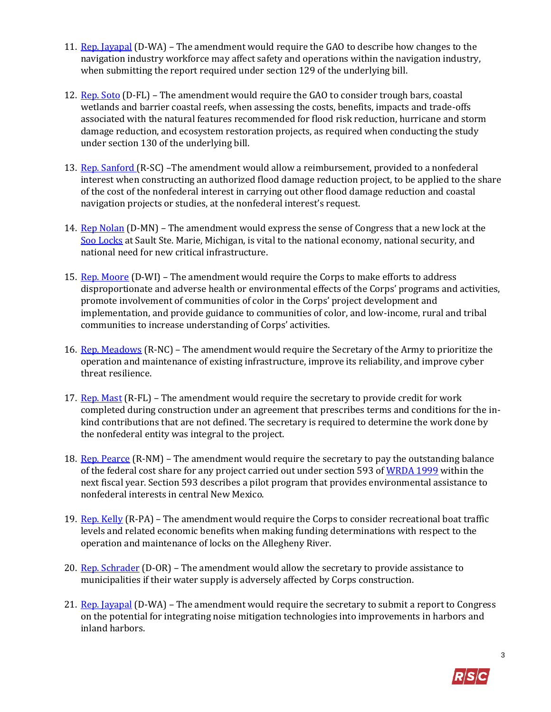- 11. [Rep. Jayapal](https://amendments-rules.house.gov/amendments/JAYAPA_094_xml530182245454545.pdf) [\(](https://amendments-rules.house.gov/amendments/JAYAPA_094_xml530182245454545.pdf)D-WA) The amendment would require the GAO to describe how changes to the navigation industry workforce may affect safety and operations within the navigation industry, when submitting the report required under section 129 of the underlying bill.
- 12. [Rep. Soto](https://amendments-rules.house.gov/amendments/SOTO_128_xml53118114703473.pdf) (D-FL) The amendment would require the GAO to consider trough bars, coastal wetlands and barrier coastal reefs, when assessing the costs, benefits, impacts and trade-offs associated with the natural features recommended for flood risk reduction, hurricane and storm damage reduction, and ecosystem restoration projects, as required when conducting the study under section 130 of the underlying bill.
- 13. [Rep. Sanford \(R](https://amendments-rules.house.gov/amendments/SANFOR_093_xml6418094607467.pdf)-SC) –The amendment would allow a reimbursement, provided to a nonfederal interest when constructing an authorized flood damage reduction project, to be applied to the share of the cost of the nonfederal interest in carrying out other flood damage reduction and coastal navigation projects or studies, at the nonfederal interest's request.
- 14. [Rep Nolan](https://amendments-rules.house.gov/amendments/NOLAN_102_xml53118103002302.pdf) (D-MN) The amendment would express the sense of Congress that a new lock at the [Soo Locks](https://www.saultstemarie.com/attractions/soo-locks/) at Sault Ste. Marie, Michigan, is vital to the national economy, national security, and national need for new critical infrastructure.
- 15. [Rep. Moore](https://amendments-rules.house.gov/amendments/MOORWI_082_xml530181627292729.pdf) (D-WI) The amendment would require the Corps to make efforts to address disproportionate and adverse health or environmental effects of the Corps' programs and activities, promote involvement of communities of color in the Corps' project development and implementation, and provide guidance to communities of color, and low-income, rural and tribal communities to increase understanding of Corps' activities.
- 16. [Rep. Meadows](https://amendments-rules.house.gov/amendments/MEADOW_141_xml531181145164516.pdf) (R-NC) The amendment would require the Secretary of the Army to prioritize the operation and maintenance of existing infrastructure, improve its reliability, and improve cyber threat resilience.
- 17. [Rep. Mast](https://amendments-rules.house.gov/amendments/MAST_073_xml65180834243424.pdf)  $(R$ -FL) The amendment would require the secretary to provide credit for work completed during construction under an agreement that prescribes terms and conditions for the inkind contributions that are not defined. The secretary is required to determine the work done by the nonfederal entity was integral to the project.
- 18. [Rep. Pearce](https://amendments-rules.house.gov/amendments/PEARCE_098_xml530181422282228.pdf) (R-NM) The amendment would require the secretary to pay the outstanding balance of the federal cost share for any project carried out under section 593 of [WRDA 1999](https://www.gpo.gov/fdsys/pkg/PLAW-106publ53/pdf/PLAW-106publ53.pdf) within the next fiscal year. Section 593 describes a pilot program that provides environmental assistance to nonfederal interests in central New Mexico.
- 19. [Rep. Kelly](https://amendments-rules.house.gov/amendments/Allegheny%20River%20Locks%20Amendment%20-%20WRDA%20REVISED64181651455145.pdf) (R-PA) The amendment would require the Corps to consider recreational boat traffic levels and related economic benefits when making funding determinations with respect to the operation and maintenance of locks on the Allegheny River.
- 20. [Rep. Schrader](https://amendments-rules.house.gov/amendments/SCHRAD_037_xml6418140137137.pdf) [\(](https://amendments-rules.house.gov/amendments/SCHRAD_037_xml6418140137137.pdf)D-OR) The amendment would allow the secretary to provide assistance to municipalities if their water supply is adversely affected by Corps construction.
- 21. [Rep. Jayapal](https://amendments-rules.house.gov/amendments/JAYAPA_093_xml531180957455745.pdf) [\(](https://amendments-rules.house.gov/amendments/JAYAPA_093_xml531180957455745.pdf)D-WA) The amendment would require the secretary to submit a report to Congress on the potential for integrating noise mitigation technologies into improvements in harbors and inland harbors.

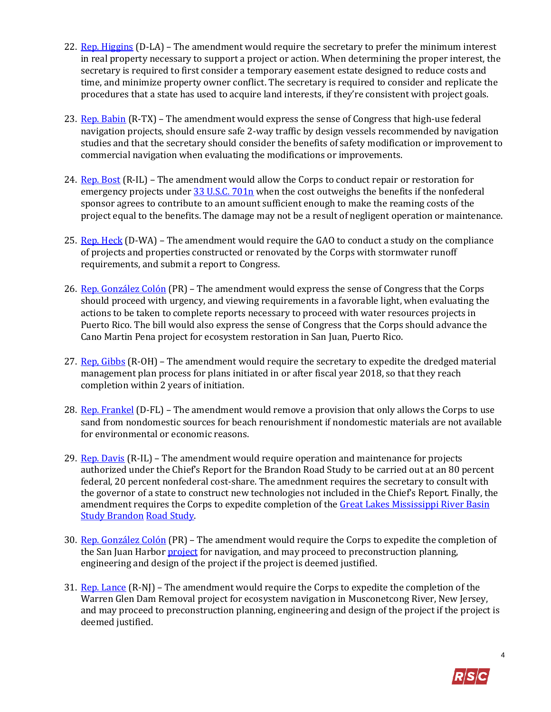- 22. [Rep. Higgins](https://amendments-rules.house.gov/amendments/HIGGLA_052_xml64181641264126.pdf) (D-LA) The amendment would require the secretary to prefer the minimum interest in real property necessary to support a project or action. When determining the proper interest, the secretary is required to first consider a temporary easement estate designed to reduce costs and time, and minimize property owner conflict. The secretary is required to consider and replicate the procedures that a state has used to acquire land interests, if they're consistent with project goals.
- 23. [Rep. Babin](https://amendments-rules.house.gov/amendments/BABIN_064_xmlvv%20WRDA%20revised%20265181645544554.pdf) [\(](https://amendments-rules.house.gov/amendments/BABIN_064_xmlvv%20WRDA%20revised%20265181645544554.pdf)R-TX) The amendment would express the sense of Congress that high-use federal navigation projects, should ensure safe 2-way traffic by design vessels recommended by navigation studies and that the secretary should consider the benefits of safety modification or improvement to commercial navigation when evaluating the modifications or improvements.
- 24. [Rep. Bost](https://amendments-rules.house.gov/amendments/BOST_044_xml%20(4)6518100135135.pdf) (R-IL) The amendment would allow the Corps to conduct repair or restoration for emergency projects under [33 U.S.C. 701n](http://uscode.house.gov/view.xhtml?req=(title:33%20section:701n%20edition:prelim)%20OR%20(granuleid:USC-prelim-title33-section701n)&f=treesort&edition=prelim&num=0&jumpTo=true) [w](http://uscode.house.gov/view.xhtml?req=(title:33%20section:701n%20edition:prelim)%20OR%20(granuleid:USC-prelim-title33-section701n)&f=treesort&edition=prelim&num=0&jumpTo=true)hen the cost outweighs the benefits if the nonfederal sponsor agrees to contribute to an amount sufficient enough to make the reaming costs of the project equal to the benefits. The damage may not be a result of negligent operation or maintenance.
- 25. [Rep. Heck](https://amendments-rules.house.gov/amendments/HECKWA_052_xml531181046334633.pdf) (D-WA) The amendment would require the GAO to conduct a study on the compliance of projects and properties constructed or renovated by the Corps with stormwater runoff requirements, and submit a report to Congress.
- 26. [Rep. González Colón](https://amendments-rules.house.gov/amendments/GONZPR_116_xml64181339523952.pdf) (PR) The amendment would express the sense of Congress that the Corps should proceed with urgency, and viewing requirements in a favorable light, when evaluating the actions to be taken to complete reports necessary to proceed with water resources projects in Puerto Rico. The bill would also express the sense of Congress that the Corps should advance the Cano Martin Pena project for ecosystem restoration in San Juan, Puerto Rico.
- 27. Rep. Gibbs (R-OH) The amendment would require the secretary to expedite the dredged material management plan process for plans initiated in or after fiscal year 2018, so that they reach completion within 2 years of initiation.
- 28. [Rep. Frankel](https://amendments-rules.house.gov/amendments/FRANLO_047531180917421742.pdf) [\(](https://amendments-rules.house.gov/amendments/FRANLO_047531180917421742.pdf)D-FL) The amendment would remove a provision that only allows the Corps to use sand from nondomestic sources for beach renourishment if nondomestic materials are not available for environmental or economic reasons.
- 29. [Rep. Davis](https://amendments-rules.house.gov/amendments/DAVIRO_076_xml64181528162816.pdf)  $(R-IL)$  The amendment would require operation and maintenance for projects authorized under the Chief's Report for the Brandon Road Study to be carried out at an 80 percent federal, 20 percent nonfederal cost-share. The amednment requires the secretary to consult with the governor of a state to construct new technologies not included in the Chief's Report. Finally, the amendment requires the Corps to expedite completion of the Great Lakes Mississippi River Basin [Study Brandon](http://glmris.anl.gov/) [Road Study.](http://glmris.anl.gov/)
- 30. [Rep. González Colón](https://amendments-rules.house.gov/amendments/GONZPR_116_xml64181339523952.pdf) (PR) The amendment would require the Corps to expedite the completion of the San Juan Harbor **project** for navigation, and may proceed to preconstruction planning, engineering and design of the project if the project is deemed justified.
- 31. [Rep. Lance](https://amendments-rules.house.gov/amendments/LANCE_051_xml61180941484148.pdf) (R-NJ) The amendment would require the Corps to expedite the completion of the Warren Glen Dam Removal project for ecosystem navigation in Musconetcong River, New Jersey, and may proceed to preconstruction planning, engineering and design of the project if the project is deemed justified.

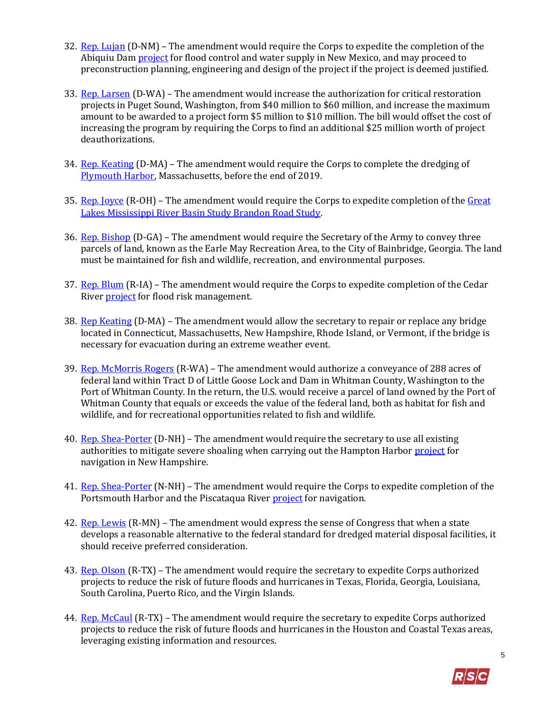- 32. [Rep. Lujan](https://amendments-rules.house.gov/amendments/LUJAN_131_xml64181555195519.pdf) [\(](https://amendments-rules.house.gov/amendments/LUJAN_131_xml64181555195519.pdf)D-NM) The amendment would require the Corps to expedite the completion of the Abiquiu Dam **project** [f](http://www.spa.usace.army.mil/Missions/Civil-Works/Recreation/Abiquiu-Lake/)or flood control and water supply in New Mexico, and may proceed to preconstruction planning, engineering and design of the project if the project is deemed justified.
- 33. [Rep. Larsen](https://amendments-rules.house.gov/amendments/LARSEN_042_xml531181019521952.pdf) (D-WA) The amendment would increase the authorization for critical restoration projects in Puget Sound, Washington, from \$40 million to \$60 million, and increase the maximum amount to be awarded to a project form \$5 million to \$10 million. The bill would offset the cost of increasing the program by requiring the Corps to find an additional \$25 million worth of project deauthorizations.
- 34. [Rep. Keating](https://amendments-rules.house.gov/amendments/KEATIN_093_xml53118115101511.pdf) (D-MA) The amendment would require the Corps to complete the dredging of [Plymouth Harbor,](http://www.nae.usace.army.mil/Missions/Civil-Works/Navigation/Massachusetts/Plymouth-Harbor/) Massachusetts, before the end of 2019.
- 35. [Rep. Joyce](https://amendments-rules.house.gov/amendments/JOYCOH_019_xml531181040564056.pdf) (R-OH) The amendment would require the Corps to expedite completion of th[e Great](http://glmris.anl.gov/) [Lakes Mississippi River Basin Study Brandon Road Study.](http://glmris.anl.gov/)
- 36. [Rep. Bishop](https://amendments-rules.house.gov/amendments/BISHGA_028_xml61181453255325.pdf) (D-GA) The amendment would require the Secretary of the Army to convey three parcels of land, known as the Earle May Recreation Area, to the City of Bainbridge, Georgia. The land must be maintained for fish and wildlife, recreation, and environmental purposes.
- 37. Rep. [Blum](https://amendments-rules.house.gov/amendments/BLUMIA_030_xml531180934123412.pdf) (R-IA) The amendment would require the Corps to expedite completion of the Cedar Rive[r project](http://www.mvr.usace.army.mil/Missions/Flood-Risk-Management/Cedar-Rapids/) [f](http://www.mvr.usace.army.mil/Missions/Flood-Risk-Management/Cedar-Rapids/)or flood risk management.
- 38. [Rep Keating](https://amendments-rules.house.gov/amendments/KEATIN_084_xml6418092308238.pdf) (D-MA) The amendment would allow the secretary to repair or replace any bridge located in Connecticut, Massachusetts, New Hampshire, Rhode Island, or Vermont, if the bridge is necessary for evacuation during an extreme weather event.
- 39. [Rep. McMorris Rogers](https://amendments-rules.house.gov/amendments/MCMORR_039%20amendment%201.064181556325632.pdf) (R-WA) The amendment would authorize a conveyance of 288 acres of federal land within Tract D of Little Goose Lock and Dam in Whitman County, Washington to the Port of Whitman County. In the return, the U.S. would receive a parcel of land owned by the Port of Whitman County that equals or exceeds the value of the federal land, both as habitat for fish and wildlife, and for recreational opportunities related to fish and wildlife.
- 40. [Rep. Shea-Porter](https://amendments-rules.house.gov/amendments/SHEAPO_090_xml61180914361436.pdf) [\(D](https://amendments-rules.house.gov/amendments/SHEAPO_090_xml61180914361436.pdf)-NH) The amendment would require the secretary to use all existing authorities to mitigate severe shoaling when carrying out the Hampton Harbor [project](http://www.nae.usace.army.mil/Missions/Civil-Works/Navigation/New-Hampshire/Hampton/) for navigation in New Hampshire.
- 41. [Rep. Shea-Porter](https://amendments-rules.house.gov/amendments/SHEAPO_089_xml61180913221322.pdf) [\(](https://amendments-rules.house.gov/amendments/SHEAPO_089_xml61180913221322.pdf)N-NH) The amendment would require the Corps to expedite completion of the Portsmouth Harbor and the Piscataqua River [project](http://www.nae.usace.army.mil/Missions/Civil-Works/Navigation/New-Hampshire/Portsmouth/) for navigation.
- 42. [Rep. Lewis](https://amendments-rules.house.gov/amendments/LEWIMN_023_xmlv265181213281328.pdf) [\(R](https://amendments-rules.house.gov/amendments/LEWIMN_023_xmlv265181213281328.pdf)-MN) The amendment would express the sense of Congress that when a state develops a reasonable alternative to the federal standard for dredged material disposal facilities, it should receive preferred consideration.
- 43. [Rep. Olson](https://amendments-rules.house.gov/amendments/OLSON_028_xml65181237313731.pdf) (R-TX) The amendment would require the secretary to expedite Corps authorized projects to reduce the risk of future floods and hurricanes in Texas, Florida, Georgia, Louisiana, South Carolina, Puerto Rico, and the Virgin Islands.
- 44. [Rep. McCaul](https://amendments-rules.house.gov/amendments/MCCAUL_103_xml%20(005)6518133903393.pdf) (R-TX) The amendment would require the secretary to expedite Corps authorized projects to reduce the risk of future floods and hurricanes in the Houston and Coastal Texas areas, leveraging existing information and resources.